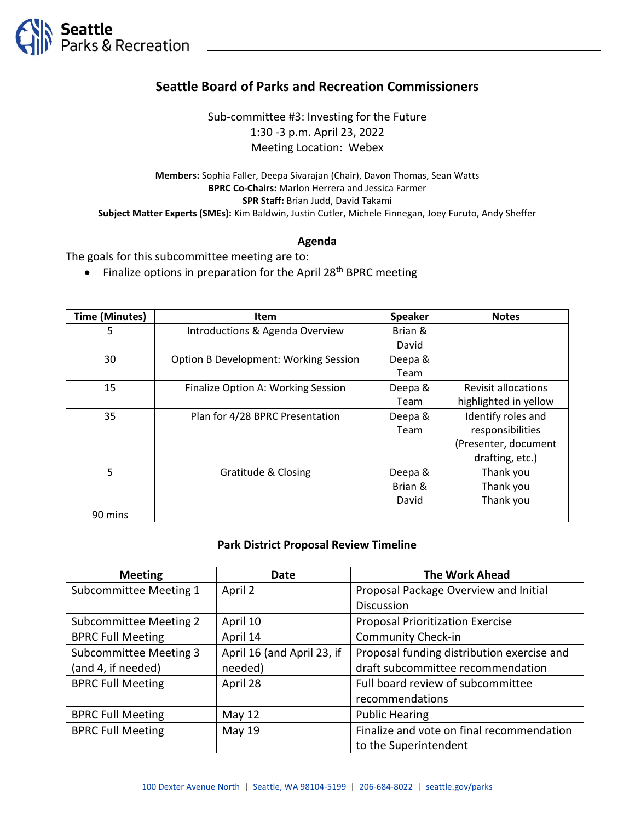

## **Seattle Board of Parks and Recreation Commissioners**

Sub-committee #3: Investing for the Future 1:30 -3 p.m. April 23, 2022 Meeting Location: Webex

**Members:** Sophia Faller, Deepa Sivarajan (Chair), Davon Thomas, Sean Watts **BPRC Co-Chairs:** Marlon Herrera and Jessica Farmer **SPR Staff:** Brian Judd, David Takami **Subject Matter Experts (SMEs):** Kim Baldwin, Justin Cutler, Michele Finnegan, Joey Furuto, Andy Sheffer

## **Agenda**

The goals for this subcommittee meeting are to:

• Finalize options in preparation for the April 28<sup>th</sup> BPRC meeting

| <b>Time (Minutes)</b> | Item                                         | <b>Speaker</b> | <b>Notes</b>               |
|-----------------------|----------------------------------------------|----------------|----------------------------|
| 5                     | Introductions & Agenda Overview              | Brian &        |                            |
|                       |                                              | David          |                            |
| 30                    | <b>Option B Development: Working Session</b> | Deepa &        |                            |
|                       |                                              | Team           |                            |
| 15                    | Finalize Option A: Working Session           | Deepa &        | <b>Revisit allocations</b> |
|                       |                                              | Team           | highlighted in yellow      |
| 35                    | Plan for 4/28 BPRC Presentation              | Deepa &        | Identify roles and         |
|                       |                                              | Team           | responsibilities           |
|                       |                                              |                | (Presenter, document       |
|                       |                                              |                | drafting, etc.)            |
| 5                     | Gratitude & Closing                          | Deepa &        | Thank you                  |
|                       |                                              | Brian &        | Thank you                  |
|                       |                                              | David          | Thank you                  |
| 90 mins               |                                              |                |                            |

## **Park District Proposal Review Timeline**

| <b>Meeting</b>                | Date                       | <b>The Work Ahead</b>                      |
|-------------------------------|----------------------------|--------------------------------------------|
| Subcommittee Meeting 1        | April 2                    | Proposal Package Overview and Initial      |
|                               |                            | <b>Discussion</b>                          |
| <b>Subcommittee Meeting 2</b> | April 10                   | <b>Proposal Prioritization Exercise</b>    |
| <b>BPRC Full Meeting</b>      | April 14                   | <b>Community Check-in</b>                  |
| <b>Subcommittee Meeting 3</b> | April 16 (and April 23, if | Proposal funding distribution exercise and |
| (and 4, if needed)            | needed)                    | draft subcommittee recommendation          |
| <b>BPRC Full Meeting</b>      | April 28                   | Full board review of subcommittee          |
|                               |                            | recommendations                            |
| <b>BPRC Full Meeting</b>      | May 12                     | <b>Public Hearing</b>                      |
| <b>BPRC Full Meeting</b>      | May 19                     | Finalize and vote on final recommendation  |
|                               |                            | to the Superintendent                      |